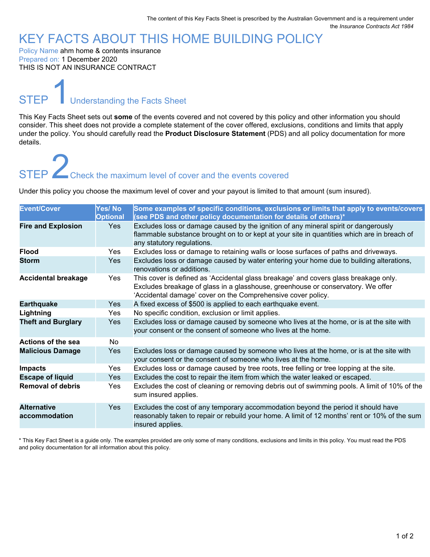### KEY FACTS ABOUT THIS HOME BUILDING POLICY

Policy Name ahm home & contents insurance Prepared on: 1 December 2020 THIS IS NOT AN INSURANCE CONTRACT

**STEP** Understanding the Facts Sheet

This Key Facts Sheet sets out **some** of the events covered and not covered by this policy and other information you should consider. This sheet does not provide a complete statement of the cover offered, exclusions, conditions and limits that apply under the policy. You should carefully read the **Product Disclosure Statement** (PDS) and all policy documentation for more details.

## STEP **2Check the maximum level of cover and the events covered**

Under this policy you choose the maximum level of cover and your payout is limited to that amount (sum insured).

| <b>Event/Cover</b>                  | Yes/No<br><b>Optional</b> | Some examples of specific conditions, exclusions or limits that apply to events/covers<br>(see PDS and other policy documentation for details of others)*                                                                                |
|-------------------------------------|---------------------------|------------------------------------------------------------------------------------------------------------------------------------------------------------------------------------------------------------------------------------------|
| <b>Fire and Explosion</b>           | <b>Yes</b>                | Excludes loss or damage caused by the ignition of any mineral spirit or dangerously<br>flammable substance brought on to or kept at your site in quantities which are in breach of<br>any statutory regulations.                         |
| <b>Flood</b>                        | <b>Yes</b>                | Excludes loss or damage to retaining walls or loose surfaces of paths and driveways.                                                                                                                                                     |
| <b>Storm</b>                        | Yes                       | Excludes loss or damage caused by water entering your home due to building alterations,<br>renovations or additions.                                                                                                                     |
| <b>Accidental breakage</b>          | <b>Yes</b>                | This cover is defined as 'Accidental glass breakage' and covers glass breakage only.<br>Excludes breakage of glass in a glasshouse, greenhouse or conservatory. We offer<br>'Accidental damage' cover on the Comprehensive cover policy. |
| <b>Earthquake</b>                   | Yes                       | A fixed excess of \$500 is applied to each earthquake event.                                                                                                                                                                             |
| Lightning                           | <b>Yes</b>                | No specific condition, exclusion or limit applies.                                                                                                                                                                                       |
| <b>Theft and Burglary</b>           | Yes                       | Excludes loss or damage caused by someone who lives at the home, or is at the site with<br>your consent or the consent of someone who lives at the home.                                                                                 |
| Actions of the sea                  | No.                       |                                                                                                                                                                                                                                          |
| <b>Malicious Damage</b>             | Yes                       | Excludes loss or damage caused by someone who lives at the home, or is at the site with<br>your consent or the consent of someone who lives at the home.                                                                                 |
| <b>Impacts</b>                      | Yes                       | Excludes loss or damage caused by tree roots, tree felling or tree lopping at the site.                                                                                                                                                  |
| <b>Escape of liquid</b>             | Yes                       | Excludes the cost to repair the item from which the water leaked or escaped.                                                                                                                                                             |
| <b>Removal of debris</b>            | <b>Yes</b>                | Excludes the cost of cleaning or removing debris out of swimming pools. A limit of 10% of the<br>sum insured applies.                                                                                                                    |
| <b>Alternative</b><br>accommodation | Yes                       | Excludes the cost of any temporary accommodation beyond the period it should have<br>reasonably taken to repair or rebuild your home. A limit of 12 months' rent or 10% of the sum<br>insured applies.                                   |

\* This Key Fact Sheet is a guide only. The examples provided are only some of many conditions, exclusions and limits in this policy. You must read the PDS and policy documentation for all information about this policy.